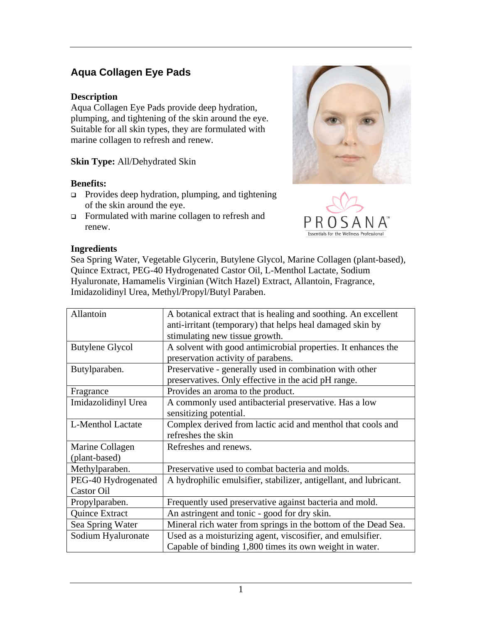# **Aqua Collagen Eye Pads**

### **Description**

Aqua Collagen Eye Pads provide deep hydration, plumping, and tightening of the skin around the eye. Suitable for all skin types, they are formulated with marine collagen to refresh and renew.

### **Skin Type:** All/Dehydrated Skin

### **Benefits:**

- □ Provides deep hydration, plumping, and tightening of the skin around the eye.
- Formulated with marine collagen to refresh and renew.





#### **Ingredients**

Sea Spring Water, Vegetable Glycerin, Butylene Glycol, Marine Collagen (plant-based), Quince Extract, PEG-40 Hydrogenated Castor Oil, L-Menthol Lactate, Sodium Hyaluronate, Hamamelis Virginian (Witch Hazel) Extract, Allantoin, Fragrance, Imidazolidinyl Urea, Methyl/Propyl/Butyl Paraben.

| Allantoin              | A botanical extract that is healing and soothing. An excellent    |
|------------------------|-------------------------------------------------------------------|
|                        | anti-irritant (temporary) that helps heal damaged skin by         |
|                        | stimulating new tissue growth.                                    |
| <b>Butylene Glycol</b> | A solvent with good antimicrobial properties. It enhances the     |
|                        | preservation activity of parabens.                                |
| Butylparaben.          | Preservative - generally used in combination with other           |
|                        | preservatives. Only effective in the acid pH range.               |
| Fragrance              | Provides an aroma to the product.                                 |
| Imidazolidinyl Urea    | A commonly used antibacterial preservative. Has a low             |
|                        | sensitizing potential.                                            |
| L-Menthol Lactate      | Complex derived from lactic acid and menthol that cools and       |
|                        | refreshes the skin                                                |
| Marine Collagen        | Refreshes and renews.                                             |
| (plant-based)          |                                                                   |
| Methylparaben.         | Preservative used to combat bacteria and molds.                   |
| PEG-40 Hydrogenated    | A hydrophilic emulsifier, stabilizer, antigellant, and lubricant. |
| <b>Castor Oil</b>      |                                                                   |
| Propylparaben.         | Frequently used preservative against bacteria and mold.           |
| Quince Extract         | An astringent and tonic - good for dry skin.                      |
| Sea Spring Water       | Mineral rich water from springs in the bottom of the Dead Sea.    |
| Sodium Hyaluronate     | Used as a moisturizing agent, viscosifier, and emulsifier.        |
|                        | Capable of binding 1,800 times its own weight in water.           |